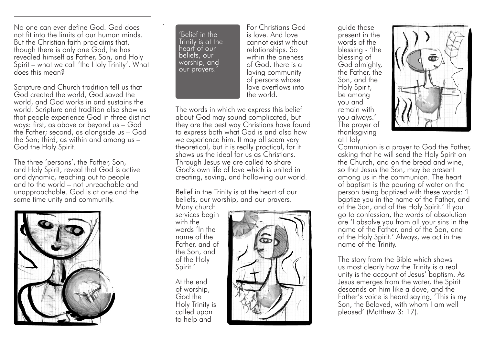No one can ever define God. God does not fit into the limits of our human minds. But the Christian faith proclaims that, though there is only one God, he has revealed himself as Father, Son, and Holy Spirit – what we call 'the Holy Trinity'. What does this mean?

Scripture and Church tradition tell us that God created the world, God saved the world, and God works in and sustains the world. Scripture and tradition also show us that people experience God in three distinct ways: first, as above or beyond us – God the Father; second, as alongside us – God the Son; third, as within and among us – God the Holy Spirit.

The three 'persons', the Father, Son, and Holy Spirit, reveal that God is active and dynamic, reaching out to people and to the world – not unreachable and unapproachable. God is at one and the same time unity and community.



'Belief in the Trinity is at the heart of our beliefs, our worship, and our prayers.'

For Christians God is love. And love cannot exist without relationships. So within the oneness of God, there is a loving community of persons whose love overflows into the world.

The words in which we express this belief about God may sound complicated, but they are the best way Christians have found to express both what God is and also how we experience him. It may all seem very theoretical, but it is really practical, for it shows us the ideal for us as Christians. Through Jesus we are called to share God's own life of love which is united in creating, saving, and hallowing our world.

Belief in the Trinity is at the heart of our beliefs, our worship, and our prayers.

Many church services begin with the words 'In the name of the Father, and of the Son, and of the Holy Spirit.'

At the end of worship, God the Holy Trinity is called upon to help and



guide those present in the words of the blessing - 'the blessing of God almighty, the Father, the Son, and the Holy Spirit, be among you and remain with you always.' The prayer of thanksgiving at Holy



Communion is a prayer to God the Father, asking that he will send the Holy Spirit on the Church, and on the bread and wine, so that Jesus the Son, may be present among us in the communion. The heart of baptism is the pouring of water on the person being baptized with these words: 'I baptize you in the name of the Father, and of the Son, and of the Holy Spirit.' If you go to confession, the words of absolution are 'I absolve you from all your sins in the name of the Father, and of the Son, and of the Holy Spirit.' Always, we act in the name of the Trinity.

The story from the Bible which shows us most clearly how the Trinity is a real unity is the account of Jesus' baptism. As Jesus emerges from the water, the Spirit descends on him like a dove, and the Father's voice is heard saying, 'This is my Son, the Beloved, with whom I am well pleased' (Matthew 3: 17).